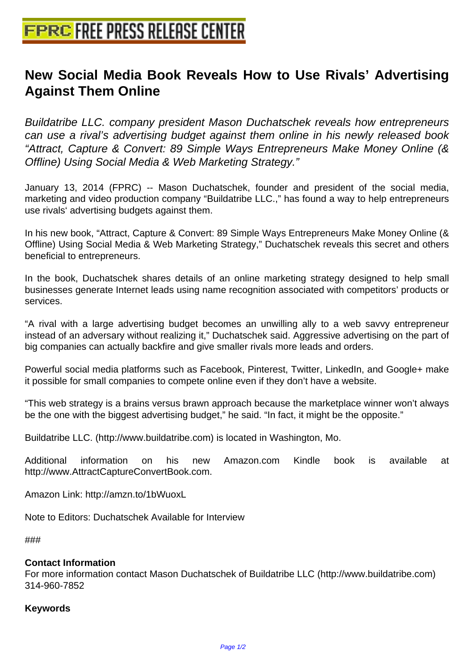## **[New Social Media Book Reveals H](http://www.free-press-release-center.info)ow to Use Rivals' Advertising Against Them Online**

Buildatribe LLC. company president Mason Duchatschek reveals how entrepreneurs can use a rival's advertising budget against them online in his newly released book "Attract, Capture & Convert: 89 Simple Ways Entrepreneurs Make Money Online (& Offline) Using Social Media & Web Marketing Strategy."

January 13, 2014 (FPRC) -- Mason Duchatschek, founder and president of the social media, marketing and video production company "Buildatribe LLC.," has found a way to help entrepreneurs use rivals' advertising budgets against them.

In his new book, "Attract, Capture & Convert: 89 Simple Ways Entrepreneurs Make Money Online (& Offline) Using Social Media & Web Marketing Strategy," Duchatschek reveals this secret and others beneficial to entrepreneurs.

In the book, Duchatschek shares details of an online marketing strategy designed to help small businesses generate Internet leads using name recognition associated with competitors' products or services.

"A rival with a large advertising budget becomes an unwilling ally to a web savvy entrepreneur instead of an adversary without realizing it," Duchatschek said. Aggressive advertising on the part of big companies can actually backfire and give smaller rivals more leads and orders.

Powerful social media platforms such as Facebook, Pinterest, Twitter, LinkedIn, and Google+ make it possible for small companies to compete online even if they don't have a website.

"This web strategy is a brains versus brawn approach because the marketplace winner won't always be the one with the biggest advertising budget," he said. "In fact, it might be the opposite."

Buildatribe LLC. (http://www.buildatribe.com) is located in Washington, Mo.

Additional information on his new Amazon.com Kindle book is available at http://www.AttractCaptureConvertBook.com.

Amazon Link: http://amzn.to/1bWuoxL

Note to Editors: Duchatschek Available for Interview

###

## **Contact Information**

For more information contact Mason Duchatschek of Buildatribe LLC (http://www.buildatribe.com) 314-960-7852

## **Keywords**